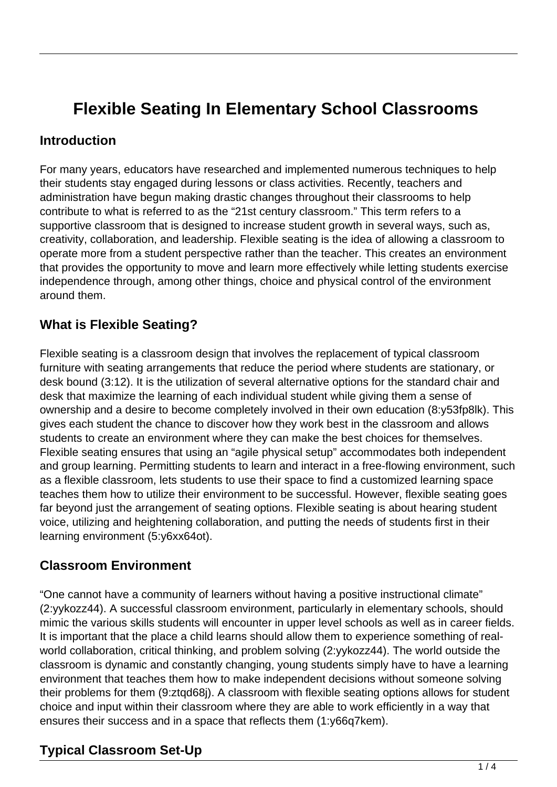# **Flexible Seating In Elementary School Classrooms**

#### **Introduction**

For many years, educators have researched and implemented numerous techniques to help their students stay engaged during lessons or class activities. Recently, teachers and administration have begun making drastic changes throughout their classrooms to help contribute to what is referred to as the "21st century classroom." This term refers to a supportive classroom that is designed to increase student growth in several ways, such as, creativity, collaboration, and leadership. Flexible seating is the idea of allowing a classroom to operate more from a student perspective rather than the teacher. This creates an environment that provides the opportunity to move and learn more effectively while letting students exercise independence through, among other things, choice and physical control of the environment around them.

## **What is Flexible Seating?**

Flexible seating is a classroom design that involves the replacement of typical classroom furniture with seating arrangements that reduce the period where students are stationary, or desk bound (3:12). It is the utilization of several alternative options for the standard chair and desk that maximize the learning of each individual student while giving them a sense of ownership and a desire to become completely involved in their own education (8:y53fp8lk). This gives each student the chance to discover how they work best in the classroom and allows students to create an environment where they can make the best choices for themselves. Flexible seating ensures that using an "agile physical setup" accommodates both independent and group learning. Permitting students to learn and interact in a free-flowing environment, such as a flexible classroom, lets students to use their space to find a customized learning space teaches them how to utilize their environment to be successful. However, flexible seating goes far beyond just the arrangement of seating options. Flexible seating is about hearing student voice, utilizing and heightening collaboration, and putting the needs of students first in their learning environment (5:y6xx64ot).

#### **Classroom Environment**

"One cannot have a community of learners without having a positive instructional climate" (2:yykozz44). A successful classroom environment, particularly in elementary schools, should mimic the various skills students will encounter in upper level schools as well as in career fields. It is important that the place a child learns should allow them to experience something of realworld collaboration, critical thinking, and problem solving (2:yykozz44). The world outside the classroom is dynamic and constantly changing, young students simply have to have a learning environment that teaches them how to make independent decisions without someone solving their problems for them (9:ztqd68j). A classroom with flexible seating options allows for student choice and input within their classroom where they are able to work efficiently in a way that ensures their success and in a space that reflects them (1:y66q7kem).

## **Typical Classroom Set-Up**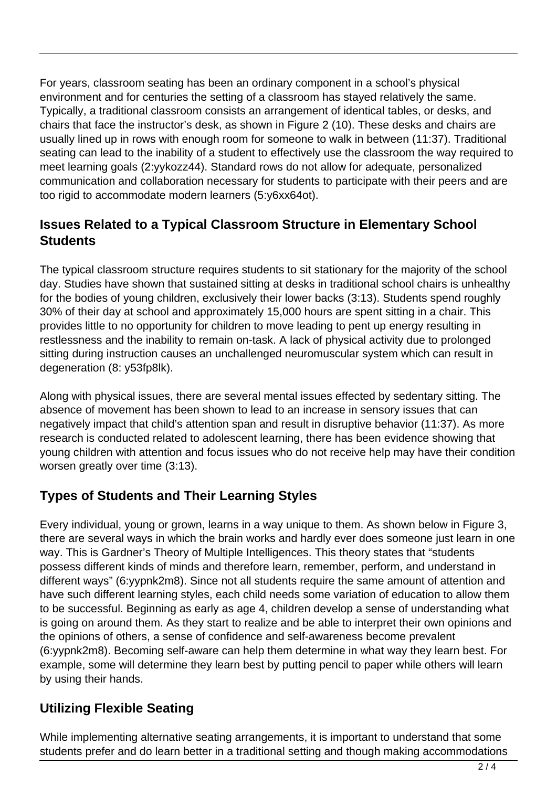For years, classroom seating has been an ordinary component in a school's physical environment and for centuries the setting of a classroom has stayed relatively the same. Typically, a traditional classroom consists an arrangement of identical tables, or desks, and chairs that face the instructor's desk, as shown in Figure 2 (10). These desks and chairs are usually lined up in rows with enough room for someone to walk in between (11:37). Traditional seating can lead to the inability of a student to effectively use the classroom the way required to meet learning goals (2:yykozz44). Standard rows do not allow for adequate, personalized communication and collaboration necessary for students to participate with their peers and are too rigid to accommodate modern learners (5:y6xx64ot).

## **Issues Related to a Typical Classroom Structure in Elementary School Students**

The typical classroom structure requires students to sit stationary for the majority of the school day. Studies have shown that sustained sitting at desks in traditional school chairs is unhealthy for the bodies of young children, exclusively their lower backs (3:13). Students spend roughly 30% of their day at school and approximately 15,000 hours are spent sitting in a chair. This provides little to no opportunity for children to move leading to pent up energy resulting in restlessness and the inability to remain on-task. A lack of physical activity due to prolonged sitting during instruction causes an unchallenged neuromuscular system which can result in degeneration (8: y53fp8lk).

Along with physical issues, there are several mental issues effected by sedentary sitting. The absence of movement has been shown to lead to an increase in sensory issues that can negatively impact that child's attention span and result in disruptive behavior (11:37). As more research is conducted related to adolescent learning, there has been evidence showing that young children with attention and focus issues who do not receive help may have their condition worsen greatly over time (3:13).

## **Types of Students and Their Learning Styles**

Every individual, young or grown, learns in a way unique to them. As shown below in Figure 3, there are several ways in which the brain works and hardly ever does someone just learn in one way. This is Gardner's Theory of Multiple Intelligences. This theory states that "students possess different kinds of minds and therefore learn, remember, perform, and understand in different ways" (6:yypnk2m8). Since not all students require the same amount of attention and have such different learning styles, each child needs some variation of education to allow them to be successful. Beginning as early as age 4, children develop a sense of understanding what is going on around them. As they start to realize and be able to interpret their own opinions and the opinions of others, a sense of confidence and self-awareness become prevalent (6:yypnk2m8). Becoming self-aware can help them determine in what way they learn best. For example, some will determine they learn best by putting pencil to paper while others will learn by using their hands.

#### **Utilizing Flexible Seating**

While implementing alternative seating arrangements, it is important to understand that some students prefer and do learn better in a traditional setting and though making accommodations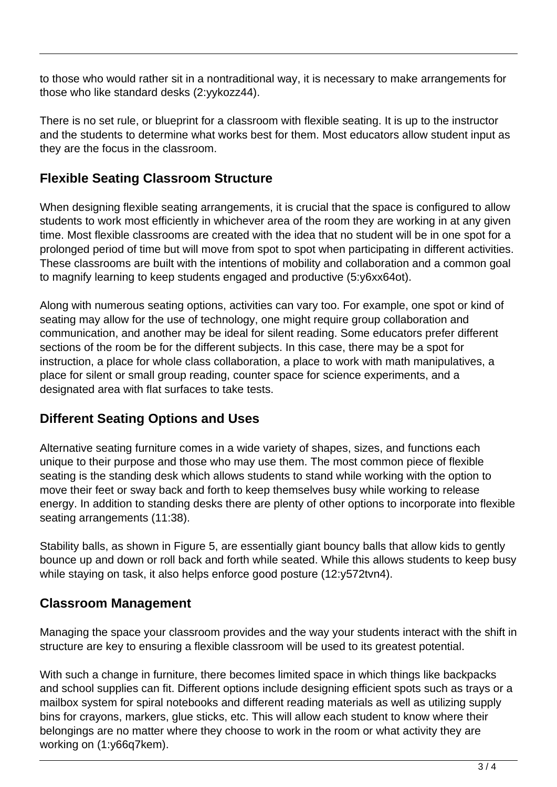to those who would rather sit in a nontraditional way, it is necessary to make arrangements for those who like standard desks (2:yykozz44).

There is no set rule, or blueprint for a classroom with flexible seating. It is up to the instructor and the students to determine what works best for them. Most educators allow student input as they are the focus in the classroom.

## **Flexible Seating Classroom Structure**

When designing flexible seating arrangements, it is crucial that the space is configured to allow students to work most efficiently in whichever area of the room they are working in at any given time. Most flexible classrooms are created with the idea that no student will be in one spot for a prolonged period of time but will move from spot to spot when participating in different activities. These classrooms are built with the intentions of mobility and collaboration and a common goal to magnify learning to keep students engaged and productive (5:y6xx64ot).

Along with numerous seating options, activities can vary too. For example, one spot or kind of seating may allow for the use of technology, one might require group collaboration and communication, and another may be ideal for silent reading. Some educators prefer different sections of the room be for the different subjects. In this case, there may be a spot for instruction, a place for whole class collaboration, a place to work with math manipulatives, a place for silent or small group reading, counter space for science experiments, and a designated area with flat surfaces to take tests.

## **Different Seating Options and Uses**

Alternative seating furniture comes in a wide variety of shapes, sizes, and functions each unique to their purpose and those who may use them. The most common piece of flexible seating is the standing desk which allows students to stand while working with the option to move their feet or sway back and forth to keep themselves busy while working to release energy. In addition to standing desks there are plenty of other options to incorporate into flexible seating arrangements (11:38).

Stability balls, as shown in Figure 5, are essentially giant bouncy balls that allow kids to gently bounce up and down or roll back and forth while seated. While this allows students to keep busy while staying on task, it also helps enforce good posture (12:y572tvn4).

#### **Classroom Management**

Managing the space your classroom provides and the way your students interact with the shift in structure are key to ensuring a flexible classroom will be used to its greatest potential.

With such a change in furniture, there becomes limited space in which things like backpacks and school supplies can fit. Different options include designing efficient spots such as trays or a mailbox system for spiral notebooks and different reading materials as well as utilizing supply bins for crayons, markers, glue sticks, etc. This will allow each student to know where their belongings are no matter where they choose to work in the room or what activity they are working on (1:y66q7kem).